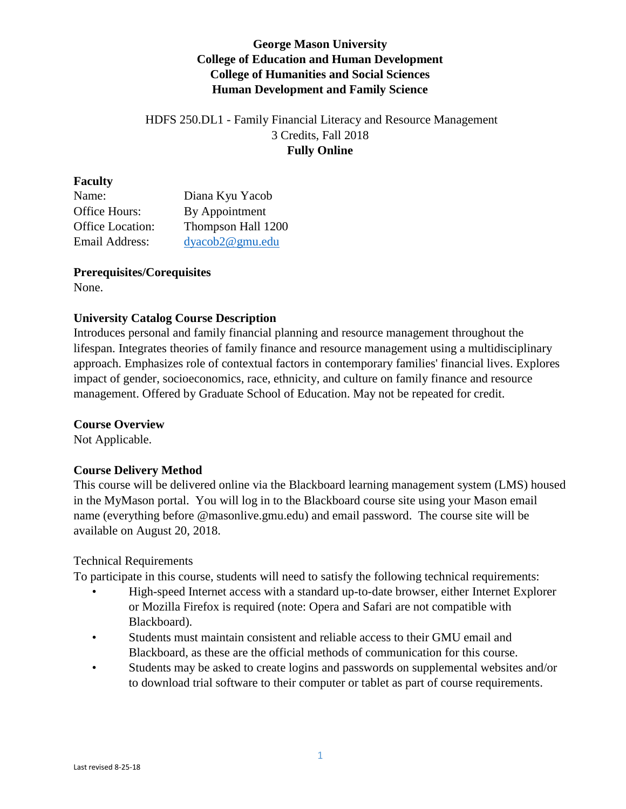# **George Mason University College of Education and Human Development College of Humanities and Social Sciences Human Development and Family Science**

# HDFS 250.DL1 - Family Financial Literacy and Resource Management 3 Credits, Fall 2018 **Fully Online**

### **Faculty**

| Name:                   | Diana Kyu Yacob    |
|-------------------------|--------------------|
| <b>Office Hours:</b>    | By Appointment     |
| <b>Office Location:</b> | Thompson Hall 1200 |
| Email Address:          | dyacob2@gmu.edu    |

## **Prerequisites/Corequisites**

None.

## **University Catalog Course Description**

Introduces personal and family financial planning and resource management throughout the lifespan. Integrates theories of family finance and resource management using a multidisciplinary approach. Emphasizes role of contextual factors in contemporary families' financial lives. Explores impact of gender, socioeconomics, race, ethnicity, and culture on family finance and resource management. Offered by Graduate School of Education. May not be repeated for credit.

## **Course Overview**

Not Applicable.

## **Course Delivery Method**

This course will be delivered online via the Blackboard learning management system (LMS) housed in the MyMason portal. You will log in to the Blackboard course site using your Mason email name (everything before @masonlive.gmu.edu) and email password. The course site will be available on August 20, 2018.

## Technical Requirements

To participate in this course, students will need to satisfy the following technical requirements:

- High-speed Internet access with a standard up-to-date browser, either Internet Explorer or Mozilla Firefox is required (note: Opera and Safari are not compatible with Blackboard).
- Students must maintain consistent and reliable access to their GMU email and Blackboard, as these are the official methods of communication for this course.
- Students may be asked to create logins and passwords on supplemental websites and/or to download trial software to their computer or tablet as part of course requirements.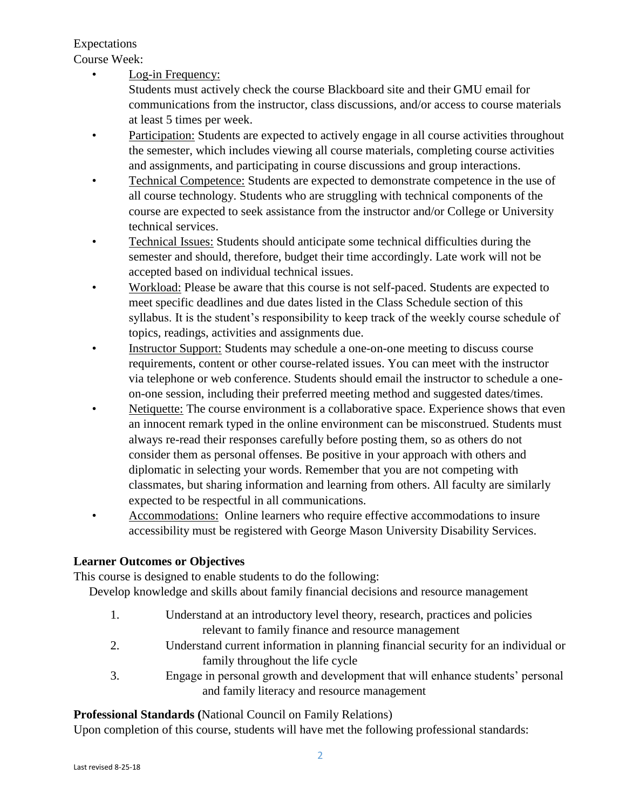Expectations Course Week:

Log-in Frequency:

Students must actively check the course Blackboard site and their GMU email for communications from the instructor, class discussions, and/or access to course materials at least 5 times per week.

- Participation: Students are expected to actively engage in all course activities throughout the semester, which includes viewing all course materials, completing course activities and assignments, and participating in course discussions and group interactions.
- Technical Competence: Students are expected to demonstrate competence in the use of all course technology. Students who are struggling with technical components of the course are expected to seek assistance from the instructor and/or College or University technical services.
- Technical Issues: Students should anticipate some technical difficulties during the semester and should, therefore, budget their time accordingly. Late work will not be accepted based on individual technical issues.
- Workload: Please be aware that this course is not self-paced. Students are expected to meet specific deadlines and due dates listed in the Class Schedule section of this syllabus. It is the student's responsibility to keep track of the weekly course schedule of topics, readings, activities and assignments due.
- Instructor Support: Students may schedule a one-on-one meeting to discuss course requirements, content or other course-related issues. You can meet with the instructor via telephone or web conference. Students should email the instructor to schedule a oneon-one session, including their preferred meeting method and suggested dates/times.
- Netiquette: The course environment is a collaborative space. Experience shows that even an innocent remark typed in the online environment can be misconstrued. Students must always re-read their responses carefully before posting them, so as others do not consider them as personal offenses. Be positive in your approach with others and diplomatic in selecting your words. Remember that you are not competing with classmates, but sharing information and learning from others. All faculty are similarly expected to be respectful in all communications.
- Accommodations: Online learners who require effective accommodations to insure accessibility must be registered with George Mason University Disability Services.

# **Learner Outcomes or Objectives**

This course is designed to enable students to do the following:

Develop knowledge and skills about family financial decisions and resource management

- 1. Understand at an introductory level theory, research, practices and policies relevant to family finance and resource management
- 2. Understand current information in planning financial security for an individual or family throughout the life cycle
- 3. Engage in personal growth and development that will enhance students' personal and family literacy and resource management

# **Professional Standards (**National Council on Family Relations)

Upon completion of this course, students will have met the following professional standards: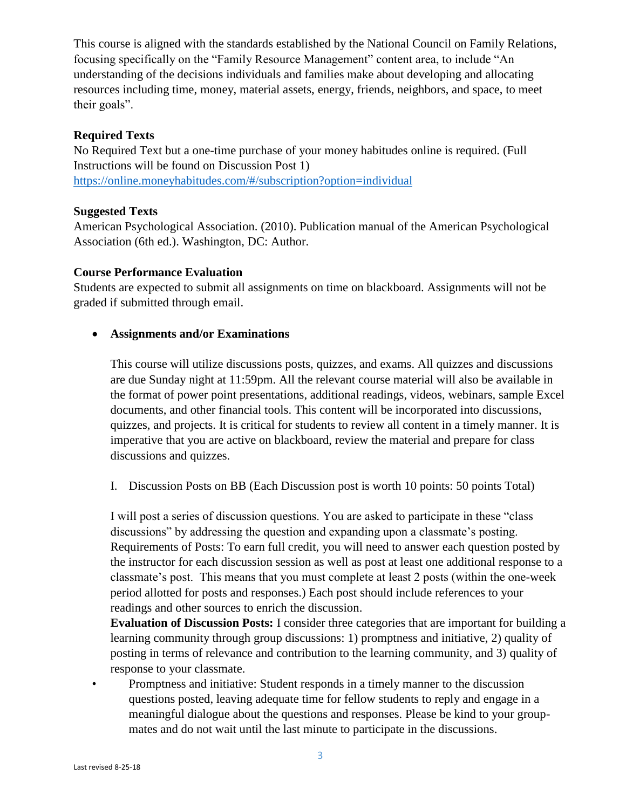This course is aligned with the standards established by the National Council on Family Relations, focusing specifically on the "Family Resource Management" content area, to include "An understanding of the decisions individuals and families make about developing and allocating resources including time, money, material assets, energy, friends, neighbors, and space, to meet their goals".

### **Required Texts**

No Required Text but a one-time purchase of your money habitudes online is required. (Full Instructions will be found on Discussion Post 1) <https://online.moneyhabitudes.com/#/subscription?option=individual>

### **Suggested Texts**

American Psychological Association. (2010). Publication manual of the American Psychological Association (6th ed.). Washington, DC: Author.

### **Course Performance Evaluation**

Students are expected to submit all assignments on time on blackboard. Assignments will not be graded if submitted through email.

### **Assignments and/or Examinations**

This course will utilize discussions posts, quizzes, and exams. All quizzes and discussions are due Sunday night at 11:59pm. All the relevant course material will also be available in the format of power point presentations, additional readings, videos, webinars, sample Excel documents, and other financial tools. This content will be incorporated into discussions, quizzes, and projects. It is critical for students to review all content in a timely manner. It is imperative that you are active on blackboard, review the material and prepare for class discussions and quizzes.

I. Discussion Posts on BB (Each Discussion post is worth 10 points: 50 points Total)

I will post a series of discussion questions. You are asked to participate in these "class discussions" by addressing the question and expanding upon a classmate's posting. Requirements of Posts: To earn full credit, you will need to answer each question posted by the instructor for each discussion session as well as post at least one additional response to a classmate's post. This means that you must complete at least 2 posts (within the one-week period allotted for posts and responses.) Each post should include references to your readings and other sources to enrich the discussion.

**Evaluation of Discussion Posts:** I consider three categories that are important for building a learning community through group discussions: 1) promptness and initiative, 2) quality of posting in terms of relevance and contribution to the learning community, and 3) quality of response to your classmate.

• Promptness and initiative: Student responds in a timely manner to the discussion questions posted, leaving adequate time for fellow students to reply and engage in a meaningful dialogue about the questions and responses. Please be kind to your groupmates and do not wait until the last minute to participate in the discussions.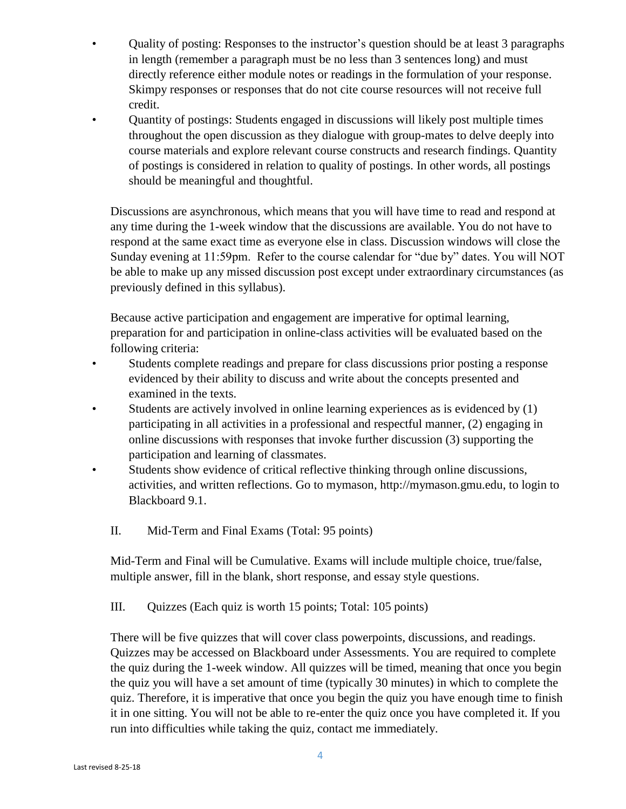- Quality of posting: Responses to the instructor's question should be at least 3 paragraphs in length (remember a paragraph must be no less than 3 sentences long) and must directly reference either module notes or readings in the formulation of your response. Skimpy responses or responses that do not cite course resources will not receive full credit.
	- Quantity of postings: Students engaged in discussions will likely post multiple times throughout the open discussion as they dialogue with group-mates to delve deeply into course materials and explore relevant course constructs and research findings. Quantity of postings is considered in relation to quality of postings. In other words, all postings should be meaningful and thoughtful.

Discussions are asynchronous, which means that you will have time to read and respond at any time during the 1-week window that the discussions are available. You do not have to respond at the same exact time as everyone else in class. Discussion windows will close the Sunday evening at 11:59pm. Refer to the course calendar for "due by" dates. You will NOT be able to make up any missed discussion post except under extraordinary circumstances (as previously defined in this syllabus).

Because active participation and engagement are imperative for optimal learning, preparation for and participation in online-class activities will be evaluated based on the following criteria:

- Students complete readings and prepare for class discussions prior posting a response evidenced by their ability to discuss and write about the concepts presented and examined in the texts.
- Students are actively involved in online learning experiences as is evidenced by (1) participating in all activities in a professional and respectful manner, (2) engaging in online discussions with responses that invoke further discussion (3) supporting the participation and learning of classmates.
- Students show evidence of critical reflective thinking through online discussions, activities, and written reflections. Go to mymason, http://mymason.gmu.edu, to login to Blackboard 9.1.
	- II. Mid-Term and Final Exams (Total: 95 points)

Mid-Term and Final will be Cumulative. Exams will include multiple choice, true/false, multiple answer, fill in the blank, short response, and essay style questions.

III. Quizzes (Each quiz is worth 15 points; Total: 105 points)

There will be five quizzes that will cover class powerpoints, discussions, and readings. Quizzes may be accessed on Blackboard under Assessments. You are required to complete the quiz during the 1-week window. All quizzes will be timed, meaning that once you begin the quiz you will have a set amount of time (typically 30 minutes) in which to complete the quiz. Therefore, it is imperative that once you begin the quiz you have enough time to finish it in one sitting. You will not be able to re-enter the quiz once you have completed it. If you run into difficulties while taking the quiz, contact me immediately.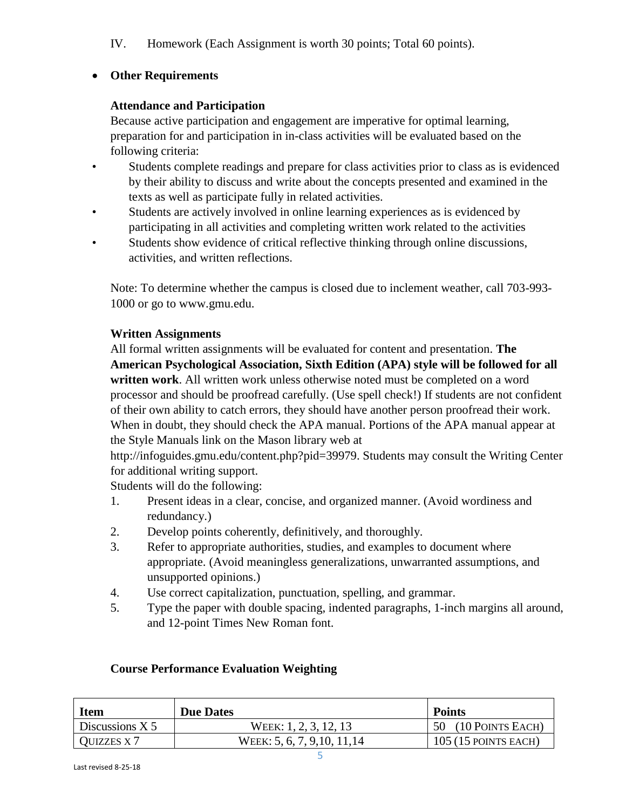IV. Homework (Each Assignment is worth 30 points; Total 60 points).

# **Other Requirements**

## **Attendance and Participation**

Because active participation and engagement are imperative for optimal learning, preparation for and participation in in-class activities will be evaluated based on the following criteria:

- Students complete readings and prepare for class activities prior to class as is evidenced by their ability to discuss and write about the concepts presented and examined in the texts as well as participate fully in related activities.
- Students are actively involved in online learning experiences as is evidenced by participating in all activities and completing written work related to the activities
- Students show evidence of critical reflective thinking through online discussions, activities, and written reflections.

Note: To determine whether the campus is closed due to inclement weather, call 703-993- 1000 or go to www.gmu.edu.

# **Written Assignments**

All formal written assignments will be evaluated for content and presentation. **The American Psychological Association, Sixth Edition (APA) style will be followed for all written work**. All written work unless otherwise noted must be completed on a word processor and should be proofread carefully. (Use spell check!) If students are not confident of their own ability to catch errors, they should have another person proofread their work. When in doubt, they should check the APA manual. Portions of the APA manual appear at the Style Manuals link on the Mason library web at

http://infoguides.gmu.edu/content.php?pid=39979. Students may consult the Writing Center for additional writing support.

Students will do the following:

- 1. Present ideas in a clear, concise, and organized manner. (Avoid wordiness and redundancy.)
- 2. Develop points coherently, definitively, and thoroughly.
- 3. Refer to appropriate authorities, studies, and examples to document where appropriate. (Avoid meaningless generalizations, unwarranted assumptions, and unsupported opinions.)
- 4. Use correct capitalization, punctuation, spelling, and grammar.
- 5. Type the paper with double spacing, indented paragraphs, 1-inch margins all around, and 12-point Times New Roman font.

| <b>Item</b>        | <b>Due Dates</b>             | <b>Points</b>         |
|--------------------|------------------------------|-----------------------|
| Discussions $X$ 5  | WEEK: 1, 2, 3, 12, 13        | 50 (10 POINTS EACH)   |
| <b>QUIZZES X 7</b> | WEEK: 5, 6, 7, 9, 10, 11, 14 | $105(15$ POINTS EACH) |

## **Course Performance Evaluation Weighting**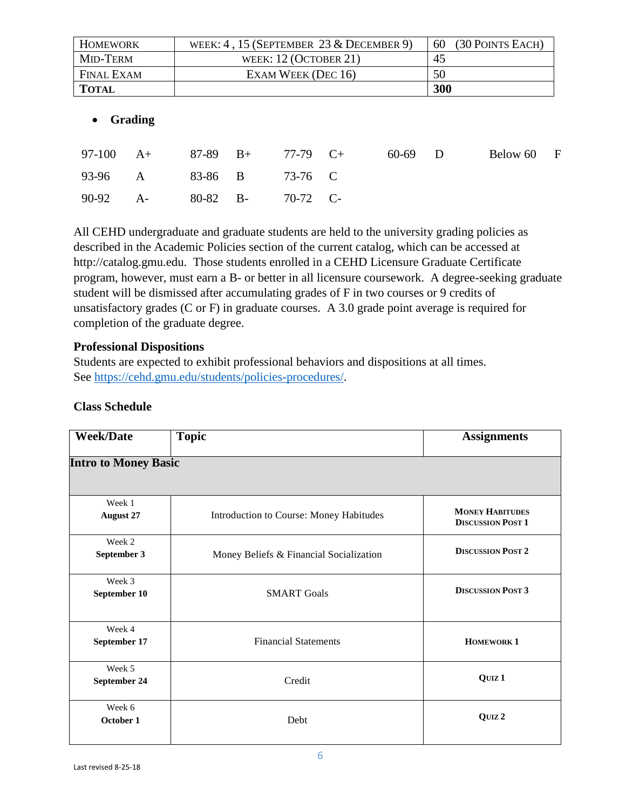| <b>HOMEWORK</b>   |                | WEEK: $4$ , 15 (SEPTEMBER 23 & DECEMBER 9) |                         |       |         | 60    | (30 POINTS EACH) |          |              |
|-------------------|----------------|--------------------------------------------|-------------------------|-------|---------|-------|------------------|----------|--------------|
| MID-TERM          |                |                                            | WEEK: $12$ (OCTOBER 21) |       |         | 45    |                  |          |              |
| <b>FINAL EXAM</b> |                |                                            | EXAM WEEK (DEC 16)      |       |         | 50    |                  |          |              |
| <b>TOTAL</b>      |                |                                            |                         |       |         |       | 300              |          |              |
| $\bullet$         | <b>Grading</b> |                                            |                         |       |         |       |                  |          |              |
| 97-100            | $A+$           | 87-89                                      | $B+$                    | 77-79 | $C_{+}$ | 60-69 | D                | Below 60 | $\mathbf{F}$ |
| 93-96             | A              | 83-86                                      | B                       | 73-76 | C       |       |                  |          |              |

All CEHD undergraduate and graduate students are held to the university grading policies as described in the Academic Policies section of the current catalog, which can be accessed at http://catalog.gmu.edu. Those students enrolled in a CEHD Licensure Graduate Certificate program, however, must earn a B- or better in all licensure coursework. A degree-seeking graduate student will be dismissed after accumulating grades of F in two courses or 9 credits of unsatisfactory grades (C or F) in graduate courses. A 3.0 grade point average is required for completion of the graduate degree.

### **Professional Dispositions**

90-92 A- 80-82 B- 70-72 C-

Students are expected to exhibit professional behaviors and dispositions at all times. See [https://cehd.gmu.edu/students/policies-procedures/.](https://cehd.gmu.edu/students/policies-procedures/)

| <b>Class Schedule</b> |
|-----------------------|
|                       |

| <b>Week/Date</b>            | <b>Topic</b>                            | <b>Assignments</b>                                 |  |  |
|-----------------------------|-----------------------------------------|----------------------------------------------------|--|--|
| <b>Intro to Money Basic</b> |                                         |                                                    |  |  |
| Week 1<br><b>August 27</b>  | Introduction to Course: Money Habitudes | <b>MONEY HABITUDES</b><br><b>DISCUSSION POST 1</b> |  |  |
| Week 2<br>September 3       | Money Beliefs & Financial Socialization | <b>DISCUSSION POST 2</b>                           |  |  |
| Week 3<br>September 10      | <b>SMART Goals</b>                      | <b>DISCUSSION POST 3</b>                           |  |  |
| Week 4<br>September 17      | <b>Financial Statements</b>             | <b>HOMEWORK 1</b>                                  |  |  |
| Week 5<br>September 24      | Credit                                  | QUIZ <sub>1</sub>                                  |  |  |
| Week 6<br>October 1         | Debt                                    | QUIZ <sub>2</sub>                                  |  |  |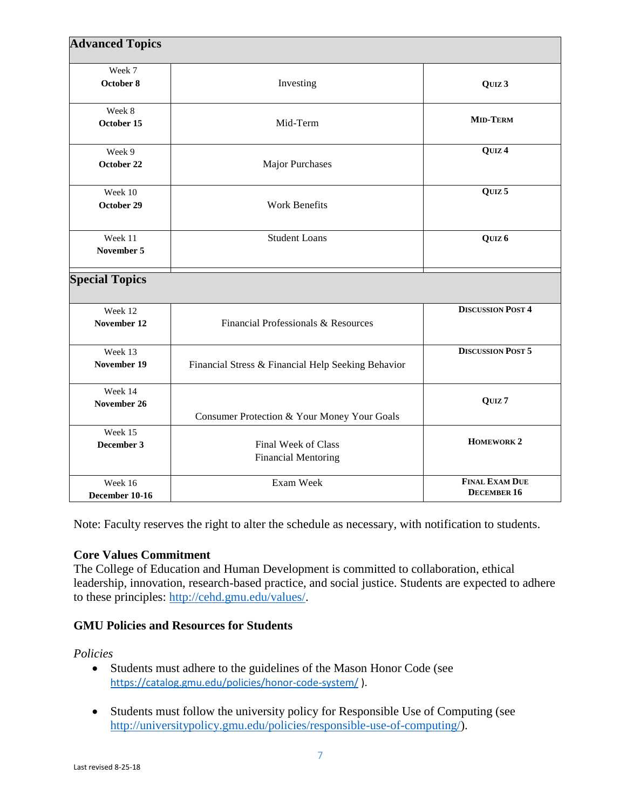| <b>Advanced Topics</b> |                                                    |                          |
|------------------------|----------------------------------------------------|--------------------------|
| Week 7                 |                                                    |                          |
| October 8              | Investing                                          | QUIZ 3                   |
| Week 8                 |                                                    |                          |
| October 15             | Mid-Term                                           | <b>MID-TERM</b>          |
| Week 9                 |                                                    | QUIZ <sub>4</sub>        |
| October 22             | Major Purchases                                    |                          |
| Week 10                |                                                    | QUIZ <sub>5</sub>        |
| October 29             | Work Benefits                                      |                          |
| Week 11                | <b>Student Loans</b>                               | QUIZ <sub>6</sub>        |
| November 5             |                                                    |                          |
| <b>Special Topics</b>  |                                                    |                          |
| Week 12                |                                                    | <b>DISCUSSION POST 4</b> |
| November 12            | Financial Professionals & Resources                |                          |
| Week 13                |                                                    | <b>DISCUSSION POST 5</b> |
| November 19            | Financial Stress & Financial Help Seeking Behavior |                          |
| Week 14                |                                                    |                          |
| November 26            |                                                    | QUIZ <sub>7</sub>        |
|                        | Consumer Protection & Your Money Your Goals        |                          |
| Week 15                |                                                    | <b>HOMEWORK 2</b>        |
| December 3             | Final Week of Class                                |                          |
|                        | <b>Financial Mentoring</b>                         |                          |
| Week 16                | Exam Week                                          | <b>FINAL EXAM DUE</b>    |
| December 10-16         |                                                    | <b>DECEMBER 16</b>       |

Note: Faculty reserves the right to alter the schedule as necessary, with notification to students.

### **Core Values Commitment**

The College of Education and Human Development is committed to collaboration, ethical leadership, innovation, research-based practice, and social justice. Students are expected to adhere to these principles: [http://cehd.gmu.edu/values/.](http://cehd.gmu.edu/values/)

# **GMU Policies and Resources for Students**

### *Policies*

- Students must adhere to the guidelines of the Mason Honor Code (see <https://catalog.gmu.edu/policies/honor-code-system/> ).
- Students must follow the university policy for Responsible Use of Computing (see [http://universitypolicy.gmu.edu/policies/responsible-use-of-computing/\)](http://universitypolicy.gmu.edu/policies/responsible-use-of-computing/).